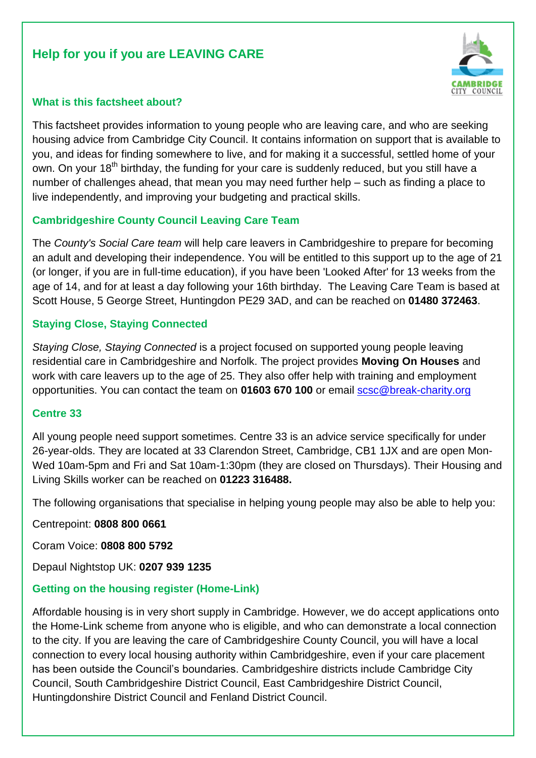# **Help for you if you are LEAVING CARE**



#### **What is this factsheet about?**

This factsheet provides information to young people who are leaving care, and who are seeking housing advice from Cambridge City Council. It contains information on support that is available to you, and ideas for finding somewhere to live, and for making it a successful, settled home of your own. On your  $18<sup>th</sup>$  birthday, the funding for your care is suddenly reduced, but you still have a number of challenges ahead, that mean you may need further help – such as finding a place to live independently, and improving your budgeting and practical skills.

#### **Cambridgeshire County Council Leaving Care Team**

The *County's Social Care team* will help care leavers in Cambridgeshire to prepare for becoming an adult and developing their independence. You will be entitled to this support up to the age of 21 (or longer, if you are in full-time education), if you have been 'Looked After' for 13 weeks from the age of 14, and for at least a day following your 16th birthday. The Leaving Care Team is based at Scott House, 5 George Street, Huntingdon PE29 3AD, and can be reached on **01480 372463**.

#### **Staying Close, Staying Connected**

*Staying Close, Staying Connected* is a project focused on supported young people leaving residential care in Cambridgeshire and Norfolk. The project provides **Moving On Houses** and work with care leavers up to the age of 25. They also offer help with training and employment opportunities. You can contact the team on **01603 670 100** or email [scsc@break-charity.org](mailto:scsc@break-charity.org)

#### **Centre 33**

All young people need support sometimes. Centre 33 is an advice service specifically for under 26-year-olds. They are located at 33 Clarendon Street, Cambridge, CB1 1JX and are open Mon-Wed 10am-5pm and Fri and Sat 10am-1:30pm (they are closed on Thursdays). Their Housing and Living Skills worker can be reached on **01223 316488.**

The following organisations that specialise in helping young people may also be able to help you:

Centrepoint: **0808 800 0661**

Coram Voice: **0808 800 5792**

Depaul Nightstop UK: **0207 939 1235**

#### **Getting on the housing register (Home-Link)**

Affordable housing is in very short supply in Cambridge. However, we do accept applications onto the Home-Link scheme from anyone who is eligible, and who can demonstrate a local connection to the city. If you are leaving the care of Cambridgeshire County Council, you will have a local connection to every local housing authority within Cambridgeshire, even if your care placement has been outside the Council's boundaries. Cambridgeshire districts include Cambridge City Council, South Cambridgeshire District Council, East Cambridgeshire District Council, Huntingdonshire District Council and Fenland District Council.